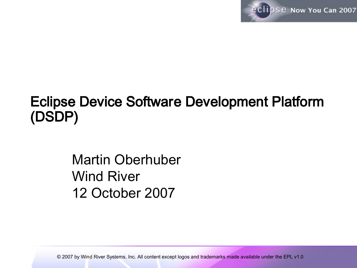

#### Eclipse Device Software Development Platform (DSDP)

Martin Oberhuber Wind River 12 October 2007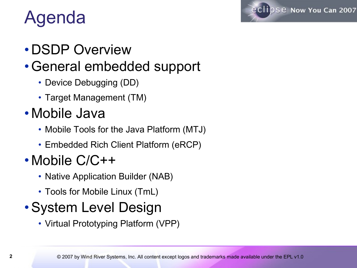

# Agenda

- DSDP Overview
- •General embedded support
	- Device Debugging (DD)
	- Target Management (TM)
- Mobile Java
	- Mobile Tools for the Java Platform (MTJ)
	- Embedded Rich Client Platform (eRCP)
- Mobile C/C++
	- Native Application Builder (NAB)
	- Tools for Mobile Linux (TmL)
- •System Level Design
	- Virtual Prototyping Platform (VPP)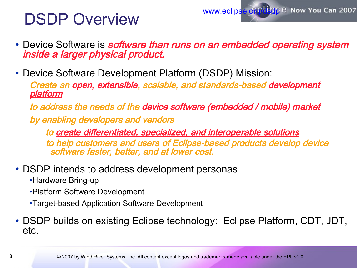

### DSDP Overview

- Device Software is **software than runs on an embedded operating system** inside a larger physical product.
- Device Software Development Platform (DSDP) Mission:

Create an open, extensible, scalable, and standards-based development platform

to address the needs of the device software (embedded / mobile) market

by enabling developers and vendors

 to create differentiated, specialized, and interoperable solutions to help customers and users of Eclipse-based products develop device software faster, better, and at lower cost.

• DSDP intends to address development personas

•Hardware Bring-up

•Platform Software Development

- •Target-based Application Software Development
- DSDP builds on existing Eclipse technology: Eclipse Platform, CDT, JDT, etc.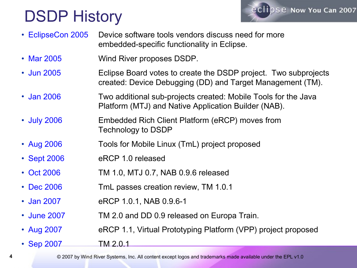## DSDP History



- EclipseCon 2005 Device software tools vendors discuss need for more embedded-specific functionality in Eclipse.
- Mar 2005 Wind River proposes DSDP.
- Jun 2005 Eclipse Board votes to create the DSDP project. Two subprojects created: Device Debugging (DD) and Target Management (TM).
- Jan 2006 Two additional sub-projects created: Mobile Tools for the Java Platform (MTJ) and Native Application Builder (NAB).
- July 2006 Embedded Rich Client Platform (eRCP) moves from Technology to DSDP
- Aug 2006 Tools for Mobile Linux (TmL) project proposed
- Sept 2006 eRCP 1.0 released
- Oct 2006 TM 1.0, MTJ 0.7, NAB 0.9.6 released
- Dec 2006 TmL passes creation review, TM 1.0.1
- Jan 2007 eRCP 1.0.1, NAB 0.9.6-1
- June 2007 TM 2.0 and DD 0.9 released on Europa Train.
- Aug 2007 eRCP 1.1, Virtual Prototyping Platform (VPP) project proposed
- Sep 2007 TM 2.0.1

© 2007 by Wind River Systems, Inc. All content except logos and trademarks made available under the EPL v1.0

**4**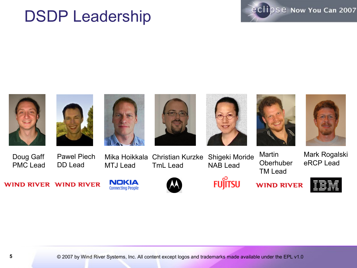### DSDP Leadership

















Doug Gaff PMC Lead Pawel Piech DD Lead

Mika Hoikkala MTJ Lead

Christian Kurzke TmL Lead

Shigeki Moride NAB Lead

Martin **Oberhuber** TM Lead

Mark Rogalski eRCP Lead

**WIND RIVER WIND RIVER** 





**FUJITSU** 

**WIND RIVER** 

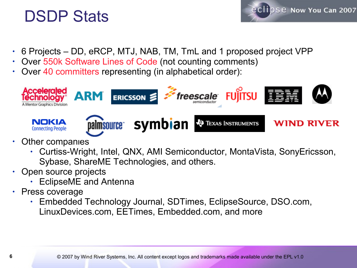### DSDP Stats

- 6 Projects DD, eRCP, MTJ, NAB, TM, TmL and 1 proposed project VPP
- Over 550k Software Lines of Code (not counting comments)
- Over 40 committers representing (in alphabetical order):



eclipse Now You Can 2007

- Other companies
	- Curtiss-Wright, Intel, QNX, AMI Semiconductor, MontaVista, SonyEricsson, Sybase, ShareME Technologies, and others.
- Open source projects
	- EclipseME and Antenna
- Press coverage
	- Embedded Technology Journal, SDTimes, EclipseSource, DSO.com, LinuxDevices.com, EETimes, Embedded.com, and more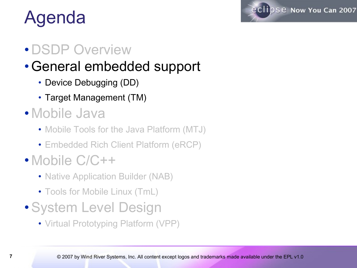

# Agenda

#### • DSDP Overview

#### •General embedded support

- Device Debugging (DD)
- Target Management (TM)
- Mobile Java
	- Mobile Tools for the Java Platform (MTJ)
	- Embedded Rich Client Platform (eRCP)
- Mobile C/C++
	- Native Application Builder (NAB)
	- Tools for Mobile Linux (TmL)
- •System Level Design
	- Virtual Prototyping Platform (VPP)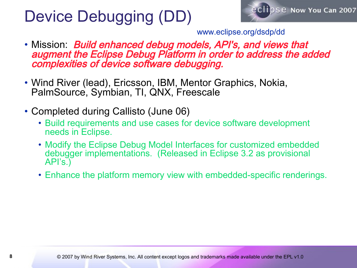## Device Debugging (DD)



www.eclipse.org/dsdp/dd

- Mission: Build enhanced debug models, API's, and views that augment the Eclipse Debug Platform in order to address the added complexities of device software debugging.
- Wind River (lead), Ericsson, IBM, Mentor Graphics, Nokia, PalmSource, Symbian, TI, QNX, Freescale
- Completed during Callisto (June 06)
	- Build requirements and use cases for device software development needs in Eclipse.
	- Modify the Eclipse Debug Model Interfaces for customized embedded debugger implementations. (Released in Eclipse 3.2 as provisional API's.)
	- Enhance the platform memory view with embedded-specific renderings.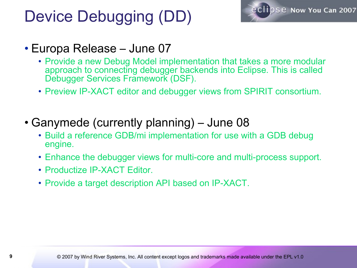### Device Debugging (DD)



- Europa Release June 07
	- Provide a new Debug Model implementation that takes a more modular approach to connecting debugger backends into Eclipse. This is called Debugger Services Framework (DSF).
	- Preview IP-XACT editor and debugger views from SPIRIT consortium.
- Ganymede (currently planning) June 08
	- Build a reference GDB/mi implementation for use with a GDB debug engine.
	- Enhance the debugger views for multi-core and multi-process support.
	- Productize IP-XACT Editor.
	- Provide a target description API based on IP-XACT.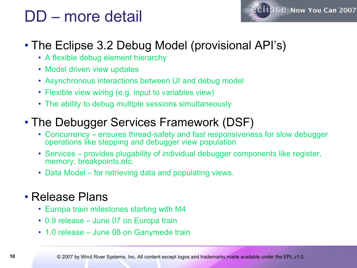### DD – more detail



#### • The Eclipse 3.2 Debug Model (provisional API's)

- A flexible debug element hierarchy
- Model driven view updates
- Asynchronous interactions between UI and debug model
- Flexible view wiring (e.g. input to variables view)
- The ability to debug multiple sessions simultaneously

#### • The Debugger Services Framework (DSF)

- Concurrency ensures thread-safety and fast responsiveness for slow debugger operations like stepping and debugger view population
- Services provides plugability of individual debugger components like register, memory, breakpoints,etc.
- Data Model for retrieving data and populating views.

#### • Release Plans

- Europa train milestones starting with M4
- 0.9 release June 07 on Europa train
- 1.0 release June 08 on Ganymede train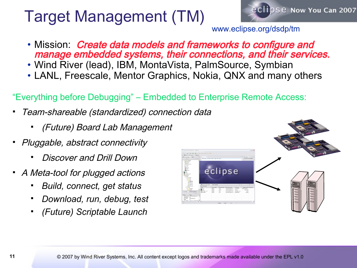## Target Management (TM)



www.eclipse.org/dsdp/tm

- Mission: *Create data models and frameworks to configure and* manage embedded systems, their connections, and their services.
- Wind River (lead), IBM, MontaVista, PalmSource, Symbian
- LANL, Freescale, Mentor Graphics, Nokia, QNX and many others

#### "Everything before Debugging" – Embedded to Enterprise Remote Access:

- Team-shareable (standardized) connection data
	- (Future) Board Lab Management
- Pluggable, abstract connectivity
	- Discover and Drill Down
- A Meta-tool for plugged actions
	- *Build, connect, get status*
	- *Download, run, debug, test*
	- *(Future) Scriptable Launch*

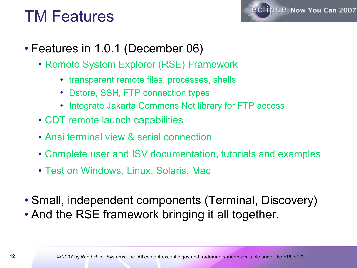### TM Features



- Features in 1.0.1 (December 06)
	- Remote System Explorer (RSE) Framework
		- transparent remote files, processes, shells
		- Dstore, SSH, FTP connection types
		- Integrate Jakarta Commons Net library for FTP access
	- CDT remote launch capabilities
	- Ansi terminal view & serial connection
	- Complete user and ISV documentation, tutorials and examples
	- Test on Windows, Linux, Solaris, Mac
- Small, independent components (Terminal, Discovery)
- And the RSE framework bringing it all together.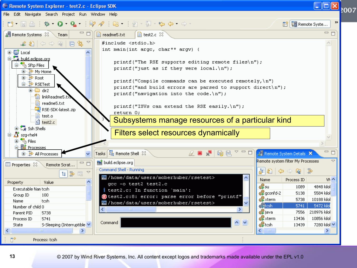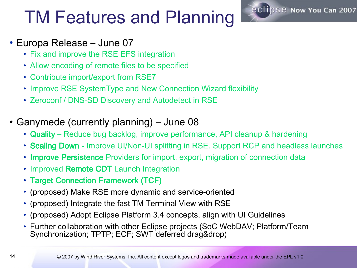# TM Features and Planning



- Fix and improve the RSE EFS integration
- Allow encoding of remote files to be specified
- Contribute import/export from RSE7
- Improve RSE SystemType and New Connection Wizard flexibility
- Zeroconf / DNS-SD Discovery and Autodetect in RSE
- Ganymede (currently planning) June 08
	- Quality Reduce bug backlog, improve performance, API cleanup & hardening
	- Scaling Down Improve UI/Non-UI splitting in RSE. Support RCP and headless launches

eclipse Now You Can 2007

- Improve Persistence Providers for import, export, migration of connection data
- Improved Remote CDT Launch Integration
- Target Connection Framework (TCF)
- (proposed) Make RSE more dynamic and service-oriented
- (proposed) Integrate the fast TM Terminal View with RSE
- (proposed) Adopt Eclipse Platform 3.4 concepts, align with UI Guidelines
- Further collaboration with other Eclipse projects (SoC WebDAV; Platform/Team Synchronization; TPTP; ECF; SWT deferred drag&drop)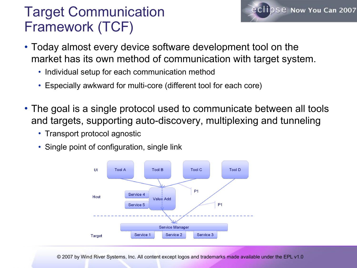#### Target Communication Framework (TCF)



- Today almost every device software development tool on the market has its own method of communication with target system.
	- Individual setup for each communication method
	- Especially awkward for multi-core (different tool for each core)
- The goal is a single protocol used to communicate between all tools and targets, supporting auto-discovery, multiplexing and tunneling
	- Transport protocol agnostic
	- Single point of configuration, single link

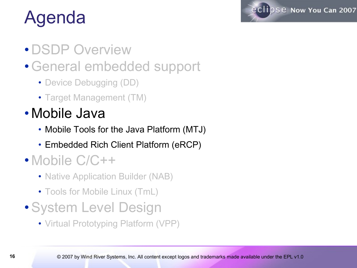

# Agenda

- DSDP Overview
- •General embedded support
	- Device Debugging (DD)
	- Target Management (TM)
- Mobile Java
	- Mobile Tools for the Java Platform (MTJ)
	- Embedded Rich Client Platform (eRCP)
- Mobile C/C++
	- Native Application Builder (NAB)
	- Tools for Mobile Linux (TmL)
- •System Level Design
	- Virtual Prototyping Platform (VPP)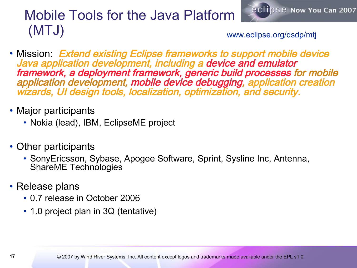# eclipse Now You Can 2007

#### Mobile Tools for the Java Platform (MTJ)

www.eclipse.org/dsdp/mtj

- Mission: *Extend existing Eclipse frameworks to support mobile device* Java application development, including a device and emulator framework, a deployment framework, generic build processes for mobile application development, mobile device debugging, application creation wizards, UI design tools, localization, optimization, and security.
- Major participants
	- Nokia (lead), IBM, EclipseME project
- Other participants
	- SonyEricsson, Sybase, Apogee Software, Sprint, Sysline Inc, Antenna, ShareME Technologies
- Release plans
	- 0.7 release in October 2006
	- 1.0 project plan in 3Q (tentative)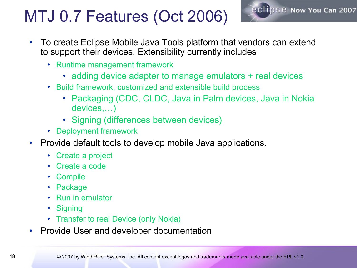### MTJ 0.7 Features (Oct 2006)



- To create Eclipse Mobile Java Tools platform that vendors can extend to support their devices. Extensibility currently includes
	- Runtime management framework
		- adding device adapter to manage emulators + real devices
	- Build framework, customized and extensible build process
		- Packaging (CDC, CLDC, Java in Palm devices, Java in Nokia devices,…)
		- Signing (differences between devices)
	- Deployment framework
- Provide default tools to develop mobile Java applications.
	- Create a project
	- Create a code
	- Compile
	- Package
	- Run in emulator
	- Signing
	- Transfer to real Device (only Nokia)
- Provide User and developer documentation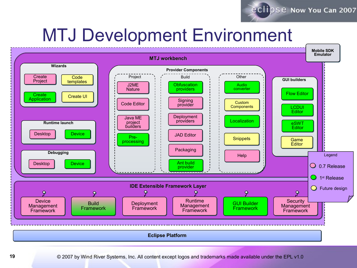## MTJ Development Environment

eclipse Now You Can 2007

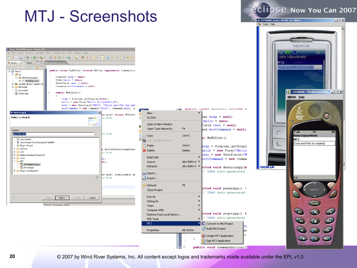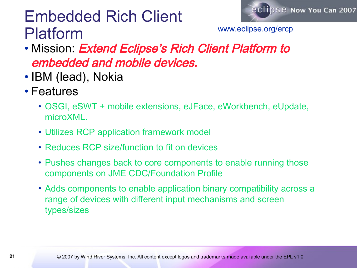### Embedded Rich Client Platform



www.eclipse.org/ercp

- Mission: Extend Eclipse's Rich Client Platform to embedded and mobile devices.
- IBM (lead), Nokia
- Features
	- OSGI, eSWT + mobile extensions, eJFace, eWorkbench, eUpdate, microXML.
	- Utilizes RCP application framework model
	- Reduces RCP size/function to fit on devices
	- Pushes changes back to core components to enable running those components on JME CDC/Foundation Profile
	- Adds components to enable application binary compatibility across a range of devices with different input mechanisms and screen types/sizes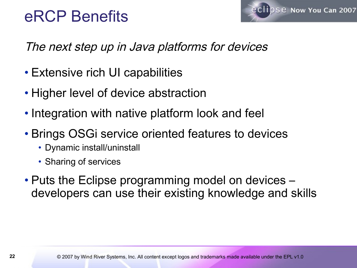### eRCP Benefits



The next step up in Java platforms for devices

- Extensive rich UI capabilities
- Higher level of device abstraction
- Integration with native platform look and feel
- Brings OSGi service oriented features to devices
	- Dynamic install/uninstall
	- Sharing of services
- Puts the Eclipse programming model on devices developers can use their existing knowledge and skills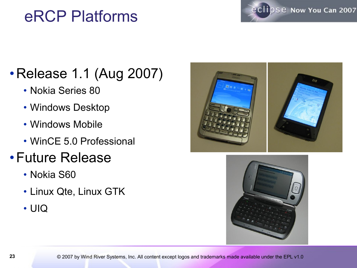### eRCP Platforms



### • Release 1.1 (Aug 2007)

- Nokia Series 80
- Windows Desktop
- Windows Mobile
- WinCE 5.0 Professional
- •Future Release
	- Nokia S60
	- Linux Qte, Linux GTK
	- UIQ



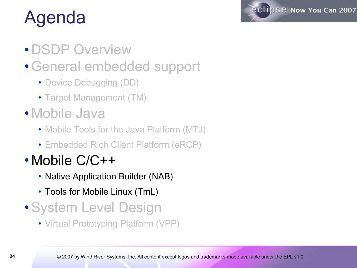

# Agenda

- DSDP Overview
- •General embedded support
	- Device Debugging (DD)
	- Target Management (TM)
- Mobile Java
	- Mobile Tools for the Java Platform (MTJ)
	- Embedded Rich Client Platform (eRCP)

#### • Mobile C/C++

- Native Application Builder (NAB)
- Tools for Mobile Linux (TmL)
- •System Level Design
	- Virtual Prototyping Platform (VPP)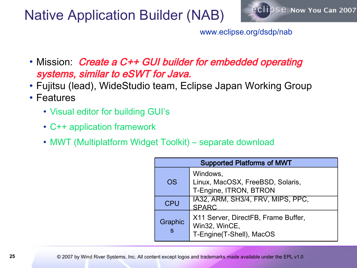#### Native Application Builder (NAB)



www.eclipse.org/dsdp/nab

- Mission: Create a C++ GUI builder for embedded operating systems, similar to eSWT for Java.
- Fujitsu (lead), WideStudio team, Eclipse Japan Working Group
- Features
	- Visual editor for building GUI's
	- C++ application framework
	- MWT (Multiplatform Widget Toolkit) separate download

| <b>Supported Platforms of MWT</b> |                                                                                  |
|-----------------------------------|----------------------------------------------------------------------------------|
| OS                                | Windows,<br>Linux, MacOSX, FreeBSD, Solaris,<br>T-Engine, ITRON, BTRON           |
| <b>CPU</b>                        | IA32, ARM, SH3/4, FRV, MIPS, PPC,<br><b>SPARC</b>                                |
| Graphic<br>$\mathbf S$            | X11 Server, DirectFB, Frame Buffer,<br>Win32, WinCE,<br>T-Engine(T-Shell), MacOS |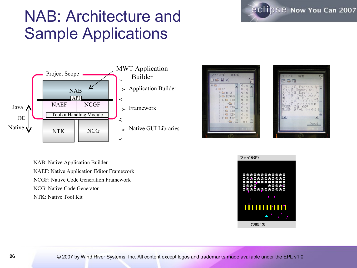### NAB: Architecture and Sample Applications







eclipse Now You Can 2007

NAB: Native Application Builder NAEF: Native Application Editor Framework NCGF: Native Code Generation Framework NCG: Native Code Generator NTK: Native Tool Kit

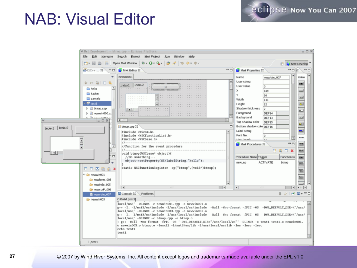### NAB: Visual Editor



eclipse Now You Can 2007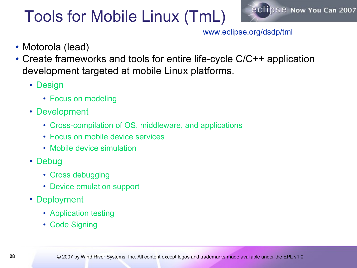# Tools for Mobile Linux (TmL)



www.eclipse.org/dsdp/tml

- Motorola (lead)
- Create frameworks and tools for entire life-cycle C/C++ application development targeted at mobile Linux platforms.
	- Design
		- Focus on modeling
	- Development
		- Cross-compilation of OS, middleware, and applications
		- Focus on mobile device services
		- Mobile device simulation
	- Debug
		- Cross debugging
		- Device emulation support
	- Deployment
		- Application testing
		- Code Signing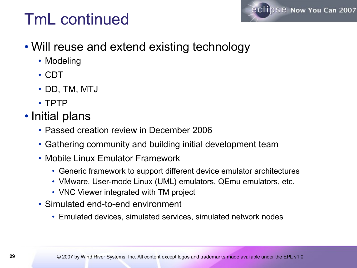# eclipse Now You Can 2007

### TmL continued

- Will reuse and extend existing technology
	- Modeling
	- CDT
	- DD, TM, MTJ
	- TPTP
- Initial plans
	- Passed creation review in December 2006
	- Gathering community and building initial development team
	- Mobile Linux Emulator Framework
		- Generic framework to support different device emulator architectures
		- VMware, User-mode Linux (UML) emulators, QEmu emulators, etc.
		- VNC Viewer integrated with TM project
	- Simulated end-to-end environment
		- Emulated devices, simulated services, simulated network nodes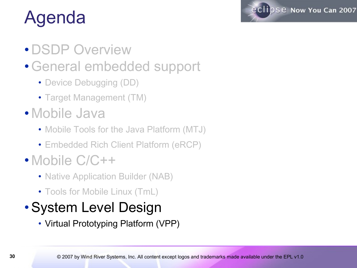

# Agenda

- DSDP Overview
- •General embedded support
	- Device Debugging (DD)
	- Target Management (TM)
- Mobile Java
	- Mobile Tools for the Java Platform (MTJ)
	- Embedded Rich Client Platform (eRCP)
- Mobile C/C++
	- Native Application Builder (NAB)
	- Tools for Mobile Linux (TmL)

### •System Level Design

• Virtual Prototyping Platform (VPP)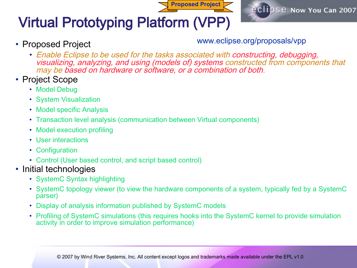**Proposed Project**

#### Virtual Prototyping Platform (VPP)

• Proposed Project

www.eclipse.org/proposals/vpp

eclipse Now You Can 2007

- Enable Eclipse to be used for the tasks associated with constructing, debugging, visualizing, analyzing, and using (models of) systems constructed from components that may be based on hardware or software, or a combination of both.
- Project Scope
	- Model Debug
	- System Visualization
	- Model specific Analysis
	- Transaction level analysis (communication between Virtual components)
	- Model execution profiling
	- User interactions
	- Configuration
	- Control (User based control, and script based control)
- Initial technologies
	- SystemC Syntax highlighting
	- SystemC topology viewer (to view the hardware components of a system, typically fed by a SystemC parser)
	- Display of analysis information published by SystemC models
	- Profiling of SystemC simulations (this requires hooks into the SystemC kernel to provide simulation activity in order to improve simulation performance)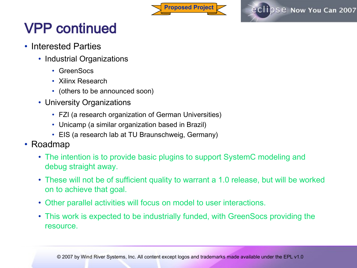



### VPP continued

- Interested Parties
	- Industrial Organizations
		- GreenSocs
		- Xilinx Research
		- (others to be announced soon)
	- University Organizations
		- FZI (a research organization of German Universities)
		- Unicamp (a similar organization based in Brazil)
		- EIS (a research lab at TU Braunschweig, Germany)
- Roadmap
	- The intention is to provide basic plugins to support SystemC modeling and debug straight away.
	- These will not be of sufficient quality to warrant a 1.0 release, but will be worked on to achieve that goal.
	- Other parallel activities will focus on model to user interactions.
	- This work is expected to be industrially funded, with GreenSocs providing the resource.